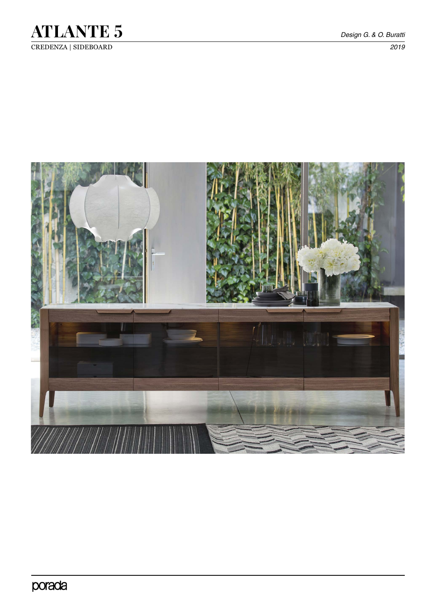

CREDENZA | SIDEBOARD *2019*

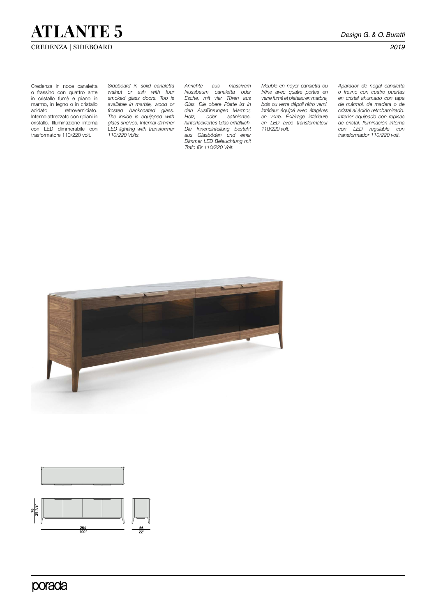# **ATLANTE 5** *Design G. & O. Buratti*

## CREDENZA | SIDEBOARD *2019*

Credenza in noce canaletta o frassino con quattro ante in cristallo fumè e piano in marmo, in legno o in cristallo<br>acidato retroverniciato. retroverniciato. Interno attrezzato con ripiani in cristallo. Illuminazione interna con LED dimmerabile con trasformatore 110/220 volt.

*Sideboard in solid canaletta walnut or ash with four smoked glass doors. Top is available in marble, wood or frosted backcoated glass. The inside is equipped with glass shelves. Internal dimmer LED lighting with transformer 110/220 Volts.*

*Anrichte aus massivem Nussbaum canaletta oder Esche, mit vier Türen aus Glas. Die obere Platte ist in den Ausführungen Marmor, Holz, oder satiniertes, hinterlackiertes Glas erhältlich. Die Inneneinteilung besteht aus Glasböden und einer Dimmer LED Beleuchtung mit Trafo für 110/220 Volt.*

*Meuble en noyer canaletta ou frêne avec quatre portes en verre fumé et plateau en marbre, bois ou verre dépoli rétro verni. Intérieur équipé avec étagères en verre. Éclairage intérieure en LED avec transformateur 110/220 volt.* 

*Aparador de nogal canaletta o fresno con cuatro puertas en cristal ahumado con tapa de mármol, de madera o de cristal al ácido retrobarnizado. Interior equipado con repisas de cristal. Iluminación interna con LED regulable con transformador 110/220 volt.*





porada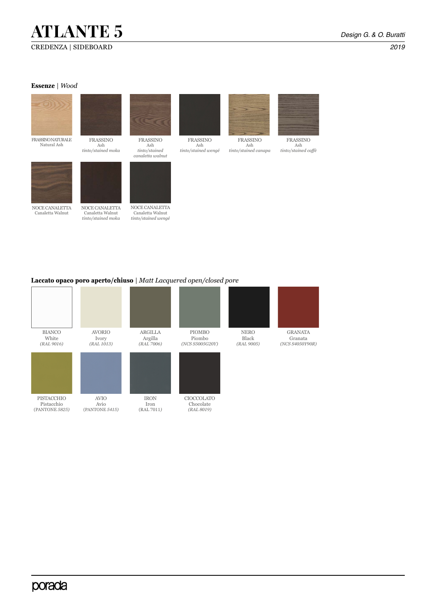# **ATLANTE 5** *Design G. & O. Buratti*

#### **Essenze** | *Wood*



### **Laccato opaco poro aperto/chiuso** | *Matt Lacquered open/closed pore*